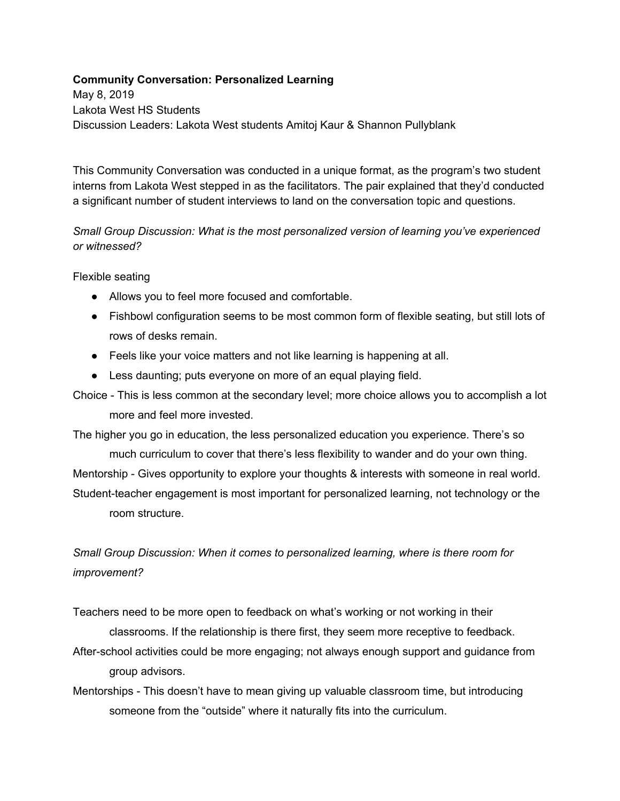## **Community Conversation: Personalized Learning**

May 8, 2019 Lakota West HS Students Discussion Leaders: Lakota West students Amitoj Kaur & Shannon Pullyblank

This Community Conversation was conducted in a unique format, as the program's two student interns from Lakota West stepped in as the facilitators. The pair explained that they'd conducted a significant number of student interviews to land on the conversation topic and questions.

## *Small Group Discussion: What is the most personalized version of learning you've experienced or witnessed?*

Flexible seating

- Allows you to feel more focused and comfortable.
- Fishbowl configuration seems to be most common form of flexible seating, but still lots of rows of desks remain.
- Feels like your voice matters and not like learning is happening at all.
- Less daunting; puts everyone on more of an equal playing field.
- Choice This is less common at the secondary level; more choice allows you to accomplish a lot more and feel more invested.

The higher you go in education, the less personalized education you experience. There's so much curriculum to cover that there's less flexibility to wander and do your own thing. Mentorship - Gives opportunity to explore your thoughts & interests with someone in real world. Student-teacher engagement is most important for personalized learning, not technology or the room structure.

## *Small Group Discussion: When it comes to personalized learning, where is there room for improvement?*

Teachers need to be more open to feedback on what's working or not working in their classrooms. If the relationship is there first, they seem more receptive to feedback.

- After-school activities could be more engaging; not always enough support and guidance from group advisors.
- Mentorships This doesn't have to mean giving up valuable classroom time, but introducing someone from the "outside" where it naturally fits into the curriculum.